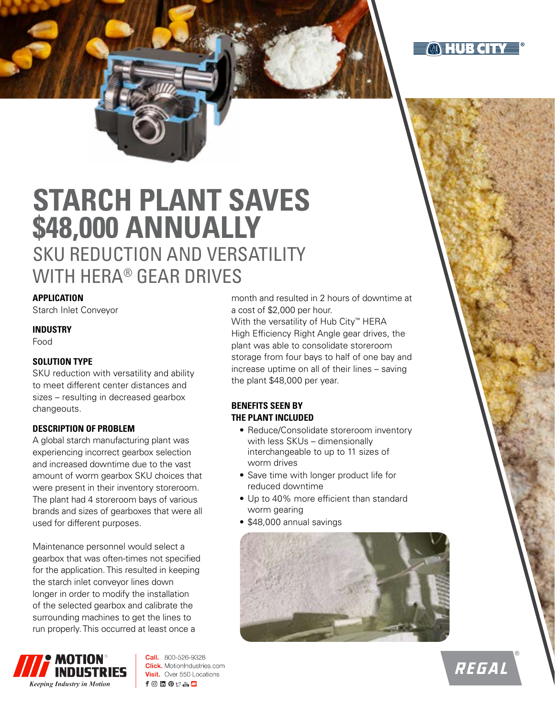

REGAL

# **STARCH PLANT SAVES \$48,000 ANNUALLY**  SKU REDUCTION AND VERSATILITY WITH HERA® GEAR DRIVES

#### **APPLICATION**

Starch Inlet Conveyor

## **INDUSTRY**

Food

# **SOLUTION TYPE**

SKU reduction with versatility and ability to meet different center distances and sizes – resulting in decreased gearbox changeouts.

#### **DESCRIPTION OF PROBLEM**

A global starch manufacturing plant was experiencing incorrect gearbox selection and increased downtime due to the vast amount of worm gearbox SKU choices that were present in their inventory storeroom. The plant had 4 storeroom bays of various brands and sizes of gearboxes that were all used for different purposes.

Maintenance personnel would select a gearbox that was often-times not specified for the application. This resulted in keeping the starch inlet conveyor lines down longer in order to modify the installation of the selected gearbox and calibrate the surrounding machines to get the lines to run properly. This occurred at least once a



Call. 800-526-9328 **Click.** MotionIndustries.com Visit. Over 550 Locations  $f$ 0 $0$  0  $y$  a  $\blacksquare$ 

month and resulted in 2 hours of downtime at a cost of \$2,000 per hour. With the versatility of Hub City™ HERA High Efficiency Right Angle gear drives, the plant was able to consolidate storeroom storage from four bays to half of one bay and increase uptime on all of their lines – saving the plant \$48,000 per year.

## **BENEFITS SEEN BY THE PLANT INCLUDED**

- Reduce/Consolidate storeroom inventory with less SKUs – dimensionally interchangeable to up to 11 sizes of worm drives
- Save time with longer product life for reduced downtime
- Up to 40% more efficient than standard worm gearing
- \$48,000 annual savings